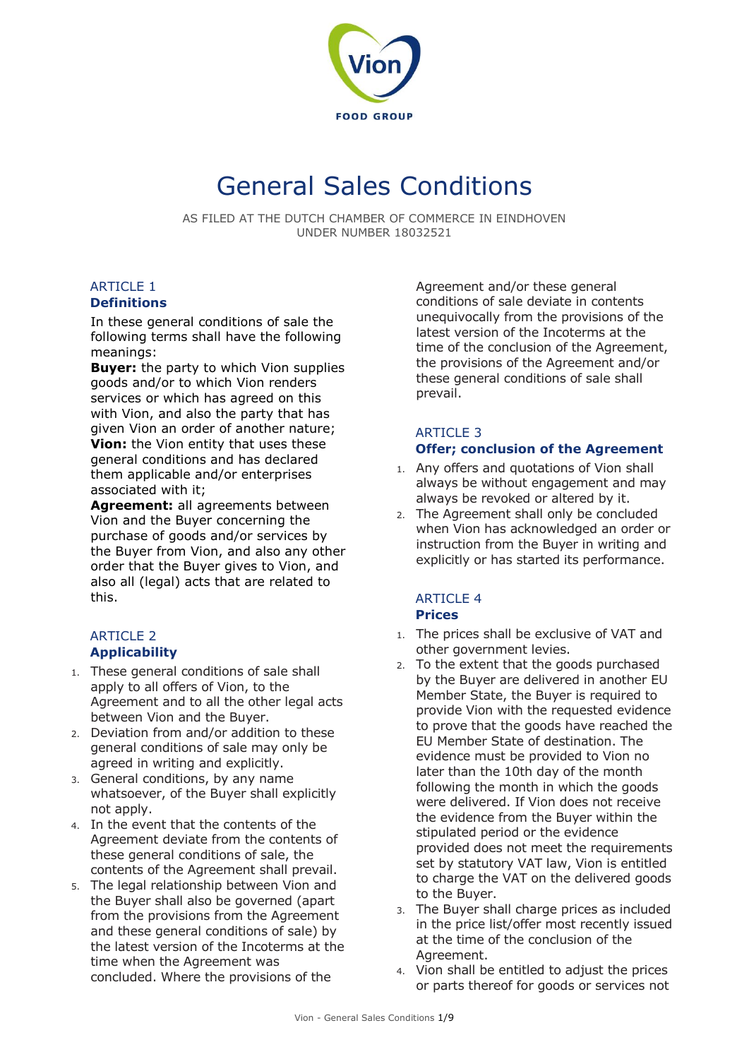

# General Sales Conditions

AS FILED AT THE DUTCH CHAMBER OF COMMERCE IN EINDHOVEN UNDER NUMBER 18032521

# **ARTICLE 1**

#### **Definitions**

In these general conditions of sale the following terms shall have the following meanings:

**Buyer:** the party to which Vion supplies goods and/or to which Vion renders services or which has agreed on this with Vion, and also the party that has given Vion an order of another nature; **Vion:** the Vion entity that uses these general conditions and has declared them applicable and/or enterprises associated with it;

**Agreement:** all agreements between Vion and the Buyer concerning the purchase of goods and/or services by the Buyer from Vion, and also any other order that the Buyer gives to Vion, and also all (legal) acts that are related to this.

## ARTICLE 2 **Applicability**

- 1. These general conditions of sale shall apply to all offers of Vion, to the Agreement and to all the other legal acts between Vion and the Buyer.
- 2. Deviation from and/or addition to these general conditions of sale may only be agreed in writing and explicitly.
- 3. General conditions, by any name whatsoever, of the Buyer shall explicitly not apply.
- 4. In the event that the contents of the Agreement deviate from the contents of these general conditions of sale, the contents of the Agreement shall prevail.
- 5. The legal relationship between Vion and the Buyer shall also be governed (apart from the provisions from the Agreement and these general conditions of sale) by the latest version of the Incoterms at the time when the Agreement was concluded. Where the provisions of the

Agreement and/or these general conditions of sale deviate in contents unequivocally from the provisions of the latest version of the Incoterms at the time of the conclusion of the Agreement, the provisions of the Agreement and/or these general conditions of sale shall prevail.

## ARTICLE 3 **Offer; conclusion of the Agreement**

- 1. Any offers and quotations of Vion shall always be without engagement and may always be revoked or altered by it.
- 2. The Agreement shall only be concluded when Vion has acknowledged an order or instruction from the Buyer in writing and explicitly or has started its performance.

#### ARTICLE 4 **Prices**

- 1. The prices shall be exclusive of VAT and other government levies.
- 2. To the extent that the goods purchased by the Buyer are delivered in another EU Member State, the Buyer is required to provide Vion with the requested evidence to prove that the goods have reached the EU Member State of destination. The evidence must be provided to Vion no later than the 10th day of the month following the month in which the goods were delivered. If Vion does not receive the evidence from the Buyer within the stipulated period or the evidence provided does not meet the requirements set by statutory VAT law, Vion is entitled to charge the VAT on the delivered goods to the Buyer.
- 3. The Buyer shall charge prices as included in the price list/offer most recently issued at the time of the conclusion of the Agreement.
- 4. Vion shall be entitled to adjust the prices or parts thereof for goods or services not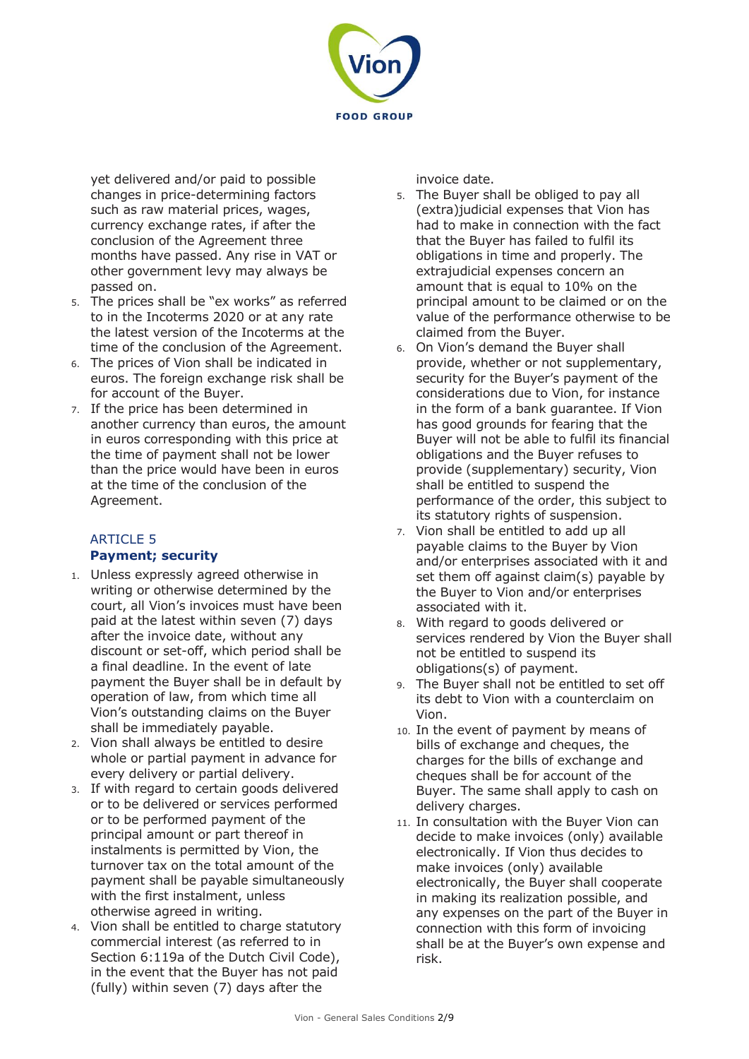

yet delivered and/or paid to possible changes in price-determining factors such as raw material prices, wages, currency exchange rates, if after the conclusion of the Agreement three months have passed. Any rise in VAT or other government levy may always be passed on.

- 5. The prices shall be "ex works" as referred to in the Incoterms 2020 or at any rate the latest version of the Incoterms at the time of the conclusion of the Agreement.
- 6. The prices of Vion shall be indicated in euros. The foreign exchange risk shall be for account of the Buyer.
- 7. If the price has been determined in another currency than euros, the amount in euros corresponding with this price at the time of payment shall not be lower than the price would have been in euros at the time of the conclusion of the Agreement.

## ARTICLE 5 **Payment; security**

- 1. Unless expressly agreed otherwise in writing or otherwise determined by the court, all Vion's invoices must have been paid at the latest within seven (7) days after the invoice date, without any discount or set-off, which period shall be a final deadline. In the event of late payment the Buyer shall be in default by operation of law, from which time all Vion's outstanding claims on the Buyer shall be immediately payable.
- 2. Vion shall always be entitled to desire whole or partial payment in advance for every delivery or partial delivery.
- 3. If with regard to certain goods delivered or to be delivered or services performed or to be performed payment of the principal amount or part thereof in instalments is permitted by Vion, the turnover tax on the total amount of the payment shall be payable simultaneously with the first instalment, unless otherwise agreed in writing.
- 4. Vion shall be entitled to charge statutory commercial interest (as referred to in Section 6:119a of the Dutch Civil Code), in the event that the Buyer has not paid (fully) within seven (7) days after the

invoice date.

- 5. The Buyer shall be obliged to pay all (extra)judicial expenses that Vion has had to make in connection with the fact that the Buyer has failed to fulfil its obligations in time and properly. The extrajudicial expenses concern an amount that is equal to 10% on the principal amount to be claimed or on the value of the performance otherwise to be claimed from the Buyer.
- 6. On Vion's demand the Buyer shall provide, whether or not supplementary, security for the Buyer's payment of the considerations due to Vion, for instance in the form of a bank guarantee. If Vion has good grounds for fearing that the Buyer will not be able to fulfil its financial obligations and the Buyer refuses to provide (supplementary) security, Vion shall be entitled to suspend the performance of the order, this subject to its statutory rights of suspension.
- 7. Vion shall be entitled to add up all payable claims to the Buyer by Vion and/or enterprises associated with it and set them off against claim(s) payable by the Buyer to Vion and/or enterprises associated with it.
- 8. With regard to goods delivered or services rendered by Vion the Buyer shall not be entitled to suspend its obligations(s) of payment.
- 9. The Buyer shall not be entitled to set off its debt to Vion with a counterclaim on Vion.
- 10. In the event of payment by means of bills of exchange and cheques, the charges for the bills of exchange and cheques shall be for account of the Buyer. The same shall apply to cash on delivery charges.
- 11. In consultation with the Buyer Vion can decide to make invoices (only) available electronically. If Vion thus decides to make invoices (only) available electronically, the Buyer shall cooperate in making its realization possible, and any expenses on the part of the Buyer in connection with this form of invoicing shall be at the Buyer's own expense and risk.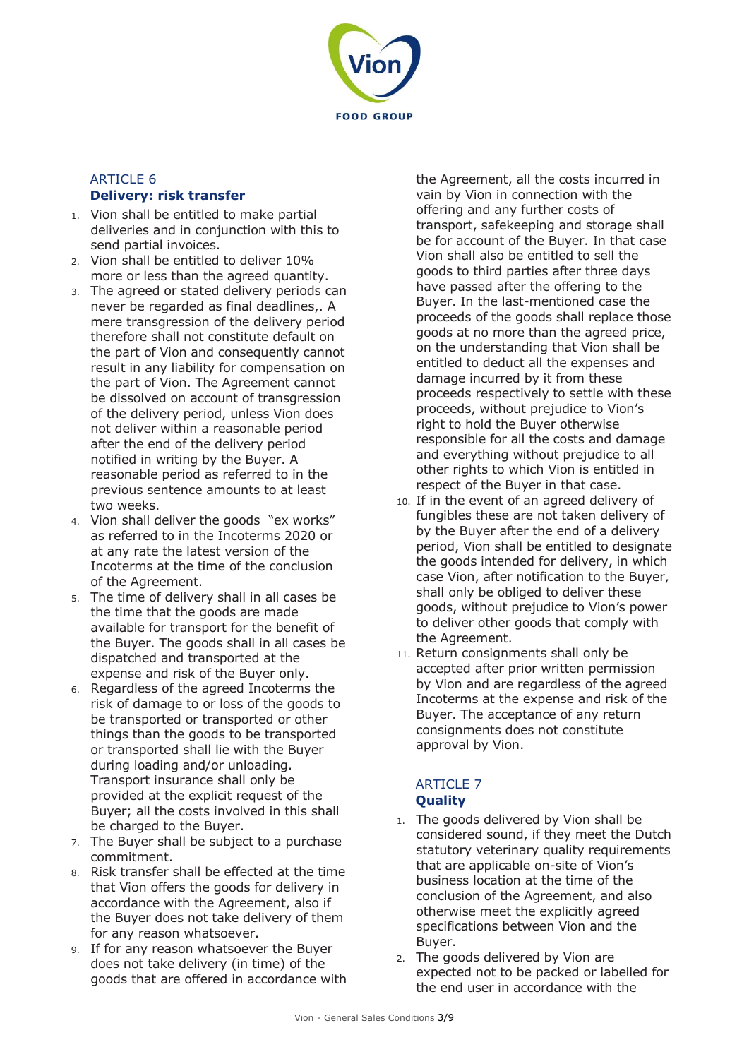

## ARTICLE 6 **Delivery: risk transfer**

- 1. Vion shall be entitled to make partial deliveries and in conjunction with this to send partial invoices.
- 2. Vion shall be entitled to deliver 10% more or less than the agreed quantity.
- 3. The agreed or stated delivery periods can never be regarded as final deadlines,. A mere transgression of the delivery period therefore shall not constitute default on the part of Vion and consequently cannot result in any liability for compensation on the part of Vion. The Agreement cannot be dissolved on account of transgression of the delivery period, unless Vion does not deliver within a reasonable period after the end of the delivery period notified in writing by the Buyer. A reasonable period as referred to in the previous sentence amounts to at least two weeks.
- 4. Vion shall deliver the goods "ex works" as referred to in the Incoterms 2020 or at any rate the latest version of the Incoterms at the time of the conclusion of the Agreement.
- 5. The time of delivery shall in all cases be the time that the goods are made available for transport for the benefit of the Buyer. The goods shall in all cases be dispatched and transported at the expense and risk of the Buyer only.
- 6. Regardless of the agreed Incoterms the risk of damage to or loss of the goods to be transported or transported or other things than the goods to be transported or transported shall lie with the Buyer during loading and/or unloading. Transport insurance shall only be provided at the explicit request of the Buyer; all the costs involved in this shall be charged to the Buyer.
- 7. The Buyer shall be subject to a purchase commitment.
- 8. Risk transfer shall be effected at the time that Vion offers the goods for delivery in accordance with the Agreement, also if the Buyer does not take delivery of them for any reason whatsoever.
- 9. If for any reason whatsoever the Buyer does not take delivery (in time) of the goods that are offered in accordance with

the Agreement, all the costs incurred in vain by Vion in connection with the offering and any further costs of transport, safekeeping and storage shall be for account of the Buyer. In that case Vion shall also be entitled to sell the goods to third parties after three days have passed after the offering to the Buyer. In the last-mentioned case the proceeds of the goods shall replace those goods at no more than the agreed price, on the understanding that Vion shall be entitled to deduct all the expenses and damage incurred by it from these proceeds respectively to settle with these proceeds, without prejudice to Vion's right to hold the Buyer otherwise responsible for all the costs and damage and everything without prejudice to all other rights to which Vion is entitled in respect of the Buyer in that case.

- 10. If in the event of an agreed delivery of fungibles these are not taken delivery of by the Buyer after the end of a delivery period, Vion shall be entitled to designate the goods intended for delivery, in which case Vion, after notification to the Buyer, shall only be obliged to deliver these goods, without prejudice to Vion's power to deliver other goods that comply with the Agreement.
- 11. Return consignments shall only be accepted after prior written permission by Vion and are regardless of the agreed Incoterms at the expense and risk of the Buyer. The acceptance of any return consignments does not constitute approval by Vion.

## ARTICLE 7 **Quality**

- 1. The goods delivered by Vion shall be considered sound, if they meet the Dutch statutory veterinary quality requirements that are applicable on-site of Vion's business location at the time of the conclusion of the Agreement, and also otherwise meet the explicitly agreed specifications between Vion and the Buyer.
- 2. The goods delivered by Vion are expected not to be packed or labelled for the end user in accordance with the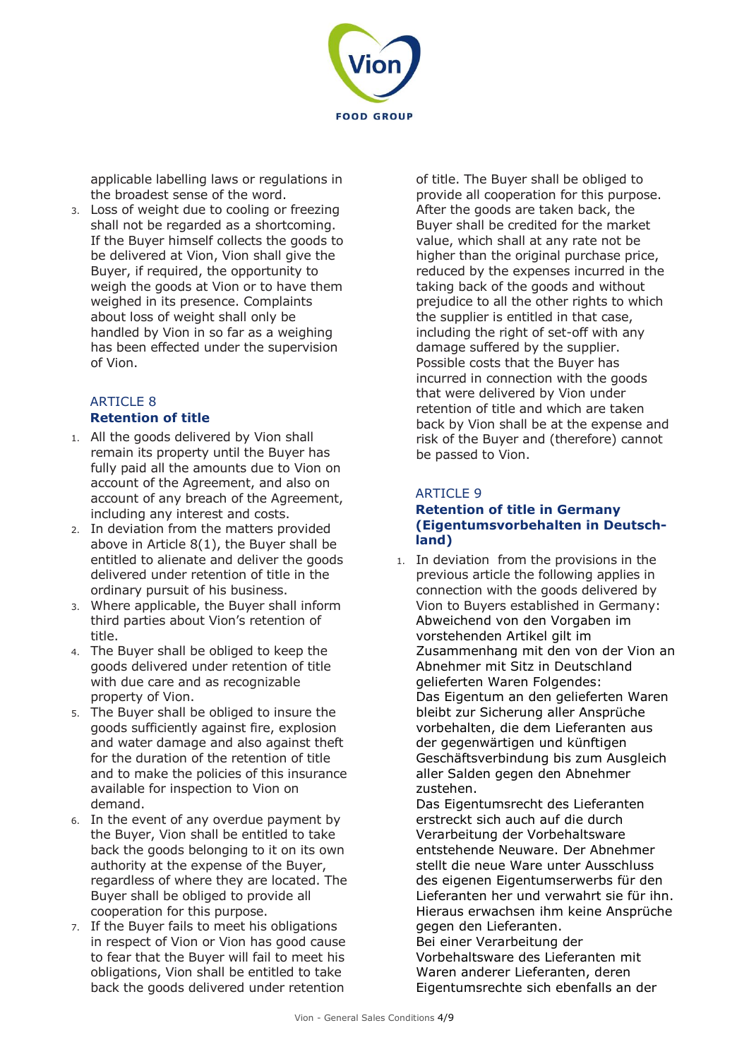

applicable labelling laws or regulations in the broadest sense of the word.

3. Loss of weight due to cooling or freezing shall not be regarded as a shortcoming. If the Buyer himself collects the goods to be delivered at Vion, Vion shall give the Buyer, if required, the opportunity to weigh the goods at Vion or to have them weighed in its presence. Complaints about loss of weight shall only be handled by Vion in so far as a weighing has been effected under the supervision of Vion.

## ARTICLE 8 **Retention of title**

- 1. All the goods delivered by Vion shall remain its property until the Buyer has fully paid all the amounts due to Vion on account of the Agreement, and also on account of any breach of the Agreement, including any interest and costs.
- 2. In deviation from the matters provided above in Article 8(1), the Buyer shall be entitled to alienate and deliver the goods delivered under retention of title in the ordinary pursuit of his business.
- 3. Where applicable, the Buyer shall inform third parties about Vion's retention of title.
- 4. The Buyer shall be obliged to keep the goods delivered under retention of title with due care and as recognizable property of Vion.
- 5. The Buyer shall be obliged to insure the goods sufficiently against fire, explosion and water damage and also against theft for the duration of the retention of title and to make the policies of this insurance available for inspection to Vion on demand.
- 6. In the event of any overdue payment by the Buyer, Vion shall be entitled to take back the goods belonging to it on its own authority at the expense of the Buyer, regardless of where they are located. The Buyer shall be obliged to provide all cooperation for this purpose.
- 7. If the Buyer fails to meet his obligations in respect of Vion or Vion has good cause to fear that the Buyer will fail to meet his obligations, Vion shall be entitled to take back the goods delivered under retention

of title. The Buyer shall be obliged to provide all cooperation for this purpose. After the goods are taken back, the Buyer shall be credited for the market value, which shall at any rate not be higher than the original purchase price, reduced by the expenses incurred in the taking back of the goods and without prejudice to all the other rights to which the supplier is entitled in that case, including the right of set-off with any damage suffered by the supplier. Possible costs that the Buyer has incurred in connection with the goods that were delivered by Vion under retention of title and which are taken back by Vion shall be at the expense and risk of the Buyer and (therefore) cannot be passed to Vion.

## ARTICLE 9

#### **Retention of title in Germany (Eigentumsvorbehalten in Deutschland)**

1. In deviation from the provisions in the previous article the following applies in connection with the goods delivered by Vion to Buyers established in Germany: Abweichend von den Vorgaben im vorstehenden Artikel gilt im Zusammenhang mit den von der Vion an Abnehmer mit Sitz in Deutschland gelieferten Waren Folgendes: Das Eigentum an den gelieferten Waren bleibt zur Sicherung aller Ansprüche vorbehalten, die dem Lieferanten aus der gegenwärtigen und künftigen Geschäftsverbindung bis zum Ausgleich aller Salden gegen den Abnehmer zustehen.

Das Eigentumsrecht des Lieferanten erstreckt sich auch auf die durch Verarbeitung der Vorbehaltsware entstehende Neuware. Der Abnehmer stellt die neue Ware unter Ausschluss des eigenen Eigentumserwerbs für den Lieferanten her und verwahrt sie für ihn. Hieraus erwachsen ihm keine Ansprüche gegen den Lieferanten.

Bei einer Verarbeitung der Vorbehaltsware des Lieferanten mit Waren anderer Lieferanten, deren Eigentumsrechte sich ebenfalls an der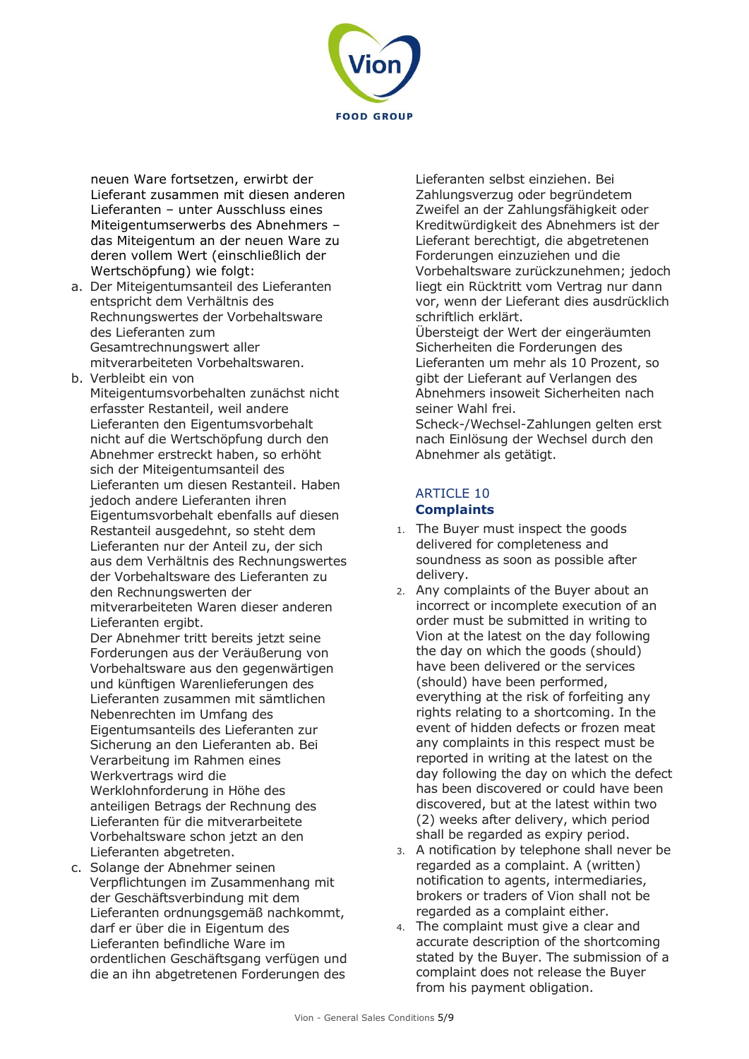

neuen Ware fortsetzen, erwirbt der Lieferant zusammen mit diesen anderen Lieferanten – unter Ausschluss eines Miteigentumserwerbs des Abnehmers – das Miteigentum an der neuen Ware zu deren vollem Wert (einschließlich der Wertschöpfung) wie folgt:

- a. Der Miteigentumsanteil des Lieferanten entspricht dem Verhältnis des Rechnungswertes der Vorbehaltsware des Lieferanten zum Gesamtrechnungswert aller mitverarbeiteten Vorbehaltswaren.
- b. Verbleibt ein von

Miteigentumsvorbehalten zunächst nicht erfasster Restanteil, weil andere Lieferanten den Eigentumsvorbehalt nicht auf die Wertschöpfung durch den Abnehmer erstreckt haben, so erhöht sich der Miteigentumsanteil des Lieferanten um diesen Restanteil. Haben jedoch andere Lieferanten ihren Eigentumsvorbehalt ebenfalls auf diesen Restanteil ausgedehnt, so steht dem Lieferanten nur der Anteil zu, der sich aus dem Verhältnis des Rechnungswertes der Vorbehaltsware des Lieferanten zu den Rechnungswerten der mitverarbeiteten Waren dieser anderen

Lieferanten ergibt.

Der Abnehmer tritt bereits jetzt seine Forderungen aus der Veräußerung von Vorbehaltsware aus den gegenwärtigen und künftigen Warenlieferungen des Lieferanten zusammen mit sämtlichen Nebenrechten im Umfang des Eigentumsanteils des Lieferanten zur Sicherung an den Lieferanten ab. Bei Verarbeitung im Rahmen eines Werkvertrags wird die Werklohnforderung in Höhe des anteiligen Betrags der Rechnung des Lieferanten für die mitverarbeitete Vorbehaltsware schon jetzt an den Lieferanten abgetreten.

c. Solange der Abnehmer seinen Verpflichtungen im Zusammenhang mit der Geschäftsverbindung mit dem Lieferanten ordnungsgemäß nachkommt, darf er über die in Eigentum des Lieferanten befindliche Ware im ordentlichen Geschäftsgang verfügen und die an ihn abgetretenen Forderungen des

Lieferanten selbst einziehen. Bei Zahlungsverzug oder begründetem Zweifel an der Zahlungsfähigkeit oder Kreditwürdigkeit des Abnehmers ist der Lieferant berechtigt, die abgetretenen Forderungen einzuziehen und die Vorbehaltsware zurückzunehmen; jedoch liegt ein Rücktritt vom Vertrag nur dann vor, wenn der Lieferant dies ausdrücklich schriftlich erklärt.

Übersteigt der Wert der eingeräumten Sicherheiten die Forderungen des Lieferanten um mehr als 10 Prozent, so gibt der Lieferant auf Verlangen des Abnehmers insoweit Sicherheiten nach seiner Wahl frei. Scheck-/Wechsel-Zahlungen gelten erst

nach Einlösung der Wechsel durch den Abnehmer als getätigt.

#### ARTICLE 10 **Complaints**

- 1. The Buyer must inspect the goods delivered for completeness and soundness as soon as possible after delivery.
- 2. Any complaints of the Buyer about an incorrect or incomplete execution of an order must be submitted in writing to Vion at the latest on the day following the day on which the goods (should) have been delivered or the services (should) have been performed, everything at the risk of forfeiting any rights relating to a shortcoming. In the event of hidden defects or frozen meat any complaints in this respect must be reported in writing at the latest on the day following the day on which the defect has been discovered or could have been discovered, but at the latest within two (2) weeks after delivery, which period shall be regarded as expiry period.
- 3. A notification by telephone shall never be regarded as a complaint. A (written) notification to agents, intermediaries, brokers or traders of Vion shall not be regarded as a complaint either.
- 4. The complaint must give a clear and accurate description of the shortcoming stated by the Buyer. The submission of a complaint does not release the Buyer from his payment obligation.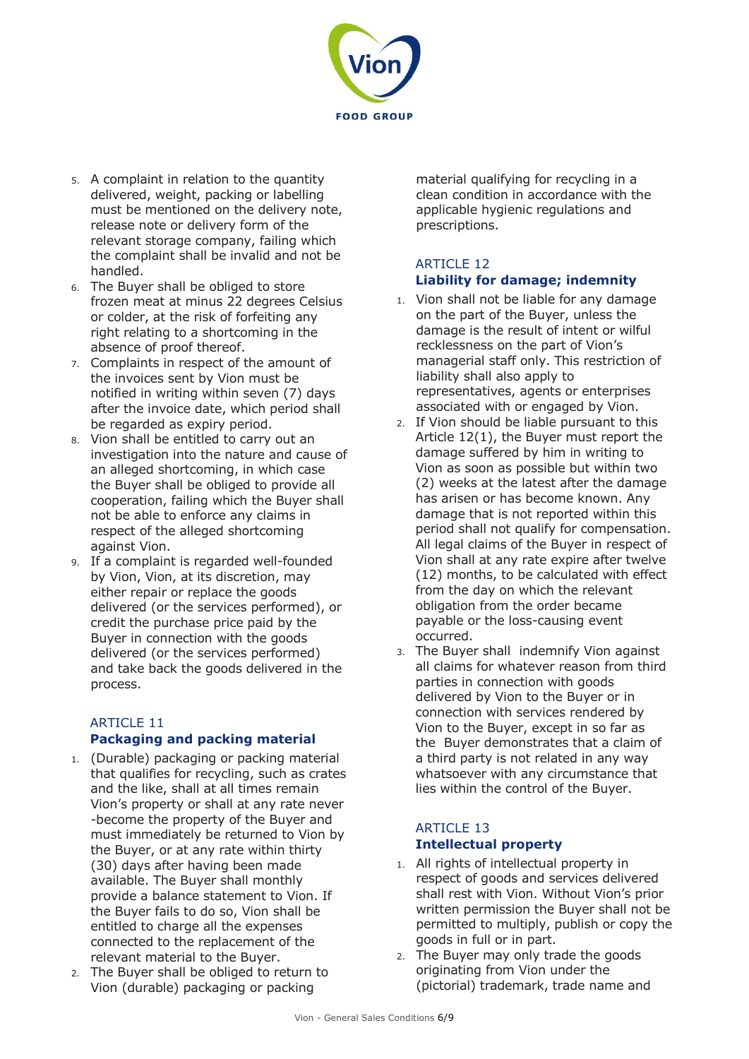

- 5. A complaint in relation to the quantity delivered, weight, packing or labelling must be mentioned on the delivery note, release note or delivery form of the relevant storage company, failing which the complaint shall be invalid and not be handled.
- 6. The Buyer shall be obliged to store frozen meat at minus 22 degrees Celsius or colder, at the risk of forfeiting any right relating to a shortcoming in the absence of proof thereof.
- 7. Complaints in respect of the amount of the invoices sent by Vion must be notified in writing within seven (7) days after the invoice date, which period shall be regarded as expiry period.
- 8. Vion shall be entitled to carry out an investigation into the nature and cause of an alleged shortcoming, in which case the Buyer shall be obliged to provide all cooperation, failing which the Buyer shall not be able to enforce any claims in respect of the alleged shortcoming against Vion.
- 9. If a complaint is regarded well-founded by Vion, Vion, at its discretion, may either repair or replace the goods delivered (or the services performed), or credit the purchase price paid by the Buyer in connection with the goods delivered (or the services performed) and take back the goods delivered in the process.

## ARTICLE 11

## **Packaging and packing material**

- 1. (Durable) packaging or packing material that qualifies for recycling, such as crates and the like, shall at all times remain Vion's property or shall at any rate never -become the property of the Buyer and must immediately be returned to Vion by the Buyer, or at any rate within thirty (30) days after having been made available. The Buyer shall monthly provide a balance statement to Vion. If the Buyer fails to do so, Vion shall be entitled to charge all the expenses connected to the replacement of the relevant material to the Buyer.
- 2. The Buyer shall be obliged to return to Vion (durable) packaging or packing

material qualifying for recycling in a clean condition in accordance with the applicable hygienic regulations and prescriptions.

## ARTICLE 12 **Liability for damage; indemnity**

- 1. Vion shall not be liable for any damage on the part of the Buyer, unless the damage is the result of intent or wilful recklessness on the part of Vion's managerial staff only. This restriction of liability shall also apply to representatives, agents or enterprises associated with or engaged by Vion.
- 2. If Vion should be liable pursuant to this Article 12(1), the Buyer must report the damage suffered by him in writing to Vion as soon as possible but within two (2) weeks at the latest after the damage has arisen or has become known. Any damage that is not reported within this period shall not qualify for compensation. All legal claims of the Buyer in respect of Vion shall at any rate expire after twelve (12) months, to be calculated with effect from the day on which the relevant obligation from the order became payable or the loss-causing event occurred.
- 3. The Buyer shall indemnify Vion against all claims for whatever reason from third parties in connection with goods delivered by Vion to the Buyer or in connection with services rendered by Vion to the Buyer, except in so far as the Buyer demonstrates that a claim of a third party is not related in any way whatsoever with any circumstance that lies within the control of the Buyer.

## ARTICLE 13 **Intellectual property**

- 1. All rights of intellectual property in respect of goods and services delivered shall rest with Vion. Without Vion's prior written permission the Buyer shall not be permitted to multiply, publish or copy the goods in full or in part.
- 2. The Buyer may only trade the goods originating from Vion under the (pictorial) trademark, trade name and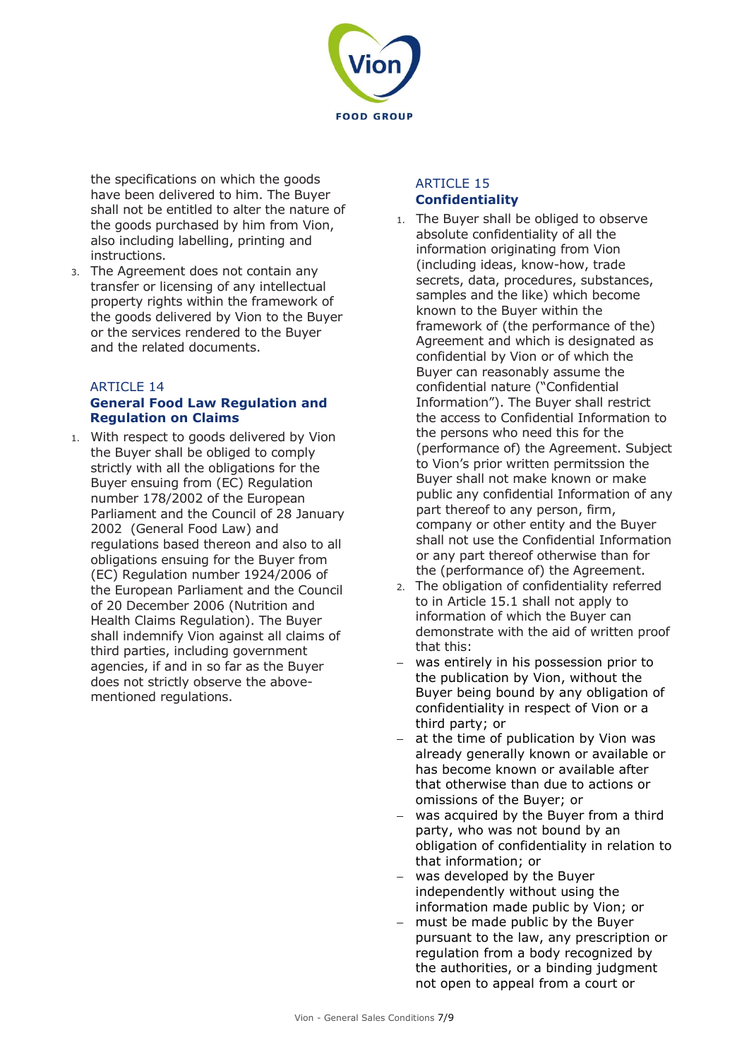

the specifications on which the goods have been delivered to him. The Buyer shall not be entitled to alter the nature of the goods purchased by him from Vion, also including labelling, printing and instructions.

3. The Agreement does not contain any transfer or licensing of any intellectual property rights within the framework of the goods delivered by Vion to the Buyer or the services rendered to the Buyer and the related documents.

## **ARTICLE 14**

## **General Food Law Regulation and Regulation on Claims**

1. With respect to goods delivered by Vion the Buyer shall be obliged to comply strictly with all the obligations for the Buyer ensuing from (EC) Regulation number 178/2002 of the European Parliament and the Council of 28 January 2002 (General Food Law) and regulations based thereon and also to all obligations ensuing for the Buyer from (EC) Regulation number 1924/2006 of the European Parliament and the Council of 20 December 2006 (Nutrition and Health Claims Regulation). The Buyer shall indemnify Vion against all claims of third parties, including government agencies, if and in so far as the Buyer does not strictly observe the abovementioned regulations.

## ARTICLE 15 **Confidentiality**

- 1. The Buyer shall be obliged to observe absolute confidentiality of all the information originating from Vion (including ideas, know-how, trade secrets, data, procedures, substances, samples and the like) which become known to the Buyer within the framework of (the performance of the) Agreement and which is designated as confidential by Vion or of which the Buyer can reasonably assume the confidential nature ("Confidential Information"). The Buyer shall restrict the access to Confidential Information to the persons who need this for the (performance of) the Agreement. Subject to Vion's prior written permitssion the Buyer shall not make known or make public any confidential Information of any part thereof to any person, firm, company or other entity and the Buyer shall not use the Confidential Information or any part thereof otherwise than for the (performance of) the Agreement.
- 2. The obligation of confidentiality referred to in Article 15.1 shall not apply to information of which the Buyer can demonstrate with the aid of written proof that this:
- − was entirely in his possession prior to the publication by Vion, without the Buyer being bound by any obligation of confidentiality in respect of Vion or a third party; or
- at the time of publication by Vion was already generally known or available or has become known or available after that otherwise than due to actions or omissions of the Buyer; or
- − was acquired by the Buyer from a third party, who was not bound by an obligation of confidentiality in relation to that information; or
- − was developed by the Buyer independently without using the information made public by Vion; or
- − must be made public by the Buyer pursuant to the law, any prescription or regulation from a body recognized by the authorities, or a binding judgment not open to appeal from a court or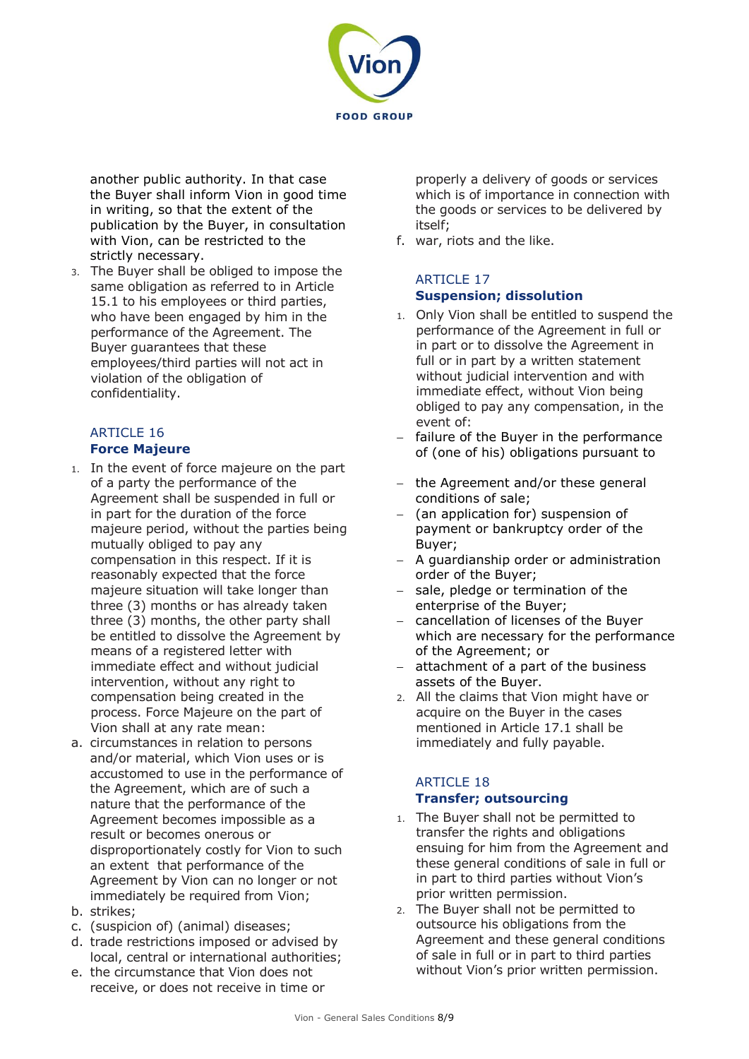

another public authority. In that case the Buyer shall inform Vion in good time in writing, so that the extent of the publication by the Buyer, in consultation with Vion, can be restricted to the strictly necessary.

3. The Buyer shall be obliged to impose the same obligation as referred to in Article 15.1 to his employees or third parties, who have been engaged by him in the performance of the Agreement. The Buyer guarantees that these employees/third parties will not act in violation of the obligation of confidentiality.

## ARTICLE 16 **Force Majeure**

- 1. In the event of force majeure on the part of a party the performance of the Agreement shall be suspended in full or in part for the duration of the force majeure period, without the parties being mutually obliged to pay any compensation in this respect. If it is reasonably expected that the force majeure situation will take longer than three (3) months or has already taken three (3) months, the other party shall be entitled to dissolve the Agreement by means of a registered letter with immediate effect and without judicial intervention, without any right to compensation being created in the process. Force Majeure on the part of Vion shall at any rate mean:
- a. circumstances in relation to persons and/or material, which Vion uses or is accustomed to use in the performance of the Agreement, which are of such a nature that the performance of the Agreement becomes impossible as a result or becomes onerous or disproportionately costly for Vion to such an extent that performance of the Agreement by Vion can no longer or not immediately be required from Vion;
- b. strikes;
- c. (suspicion of) (animal) diseases;
- d. trade restrictions imposed or advised by local, central or international authorities;
- e. the circumstance that Vion does not receive, or does not receive in time or

properly a delivery of goods or services which is of importance in connection with the goods or services to be delivered by itself;

f. war, riots and the like.

## ARTICLE 17 **Suspension; dissolution**

- 1. Only Vion shall be entitled to suspend the performance of the Agreement in full or in part or to dissolve the Agreement in full or in part by a written statement without judicial intervention and with immediate effect, without Vion being obliged to pay any compensation, in the event of:
- failure of the Buyer in the performance of (one of his) obligations pursuant to
- the Agreement and/or these general conditions of sale;
- − (an application for) suspension of payment or bankruptcy order of the Buyer;
- − A guardianship order or administration order of the Buyer;
- sale, pledge or termination of the enterprise of the Buyer;
- − cancellation of licenses of the Buyer which are necessary for the performance of the Agreement; or
- − attachment of a part of the business assets of the Buyer.
- 2. All the claims that Vion might have or acquire on the Buyer in the cases mentioned in Article 17.1 shall be immediately and fully payable.

## ARTICLE 18 **Transfer; outsourcing**

- 1. The Buyer shall not be permitted to transfer the rights and obligations ensuing for him from the Agreement and these general conditions of sale in full or in part to third parties without Vion's prior written permission.
- 2. The Buyer shall not be permitted to outsource his obligations from the Agreement and these general conditions of sale in full or in part to third parties without Vion's prior written permission.